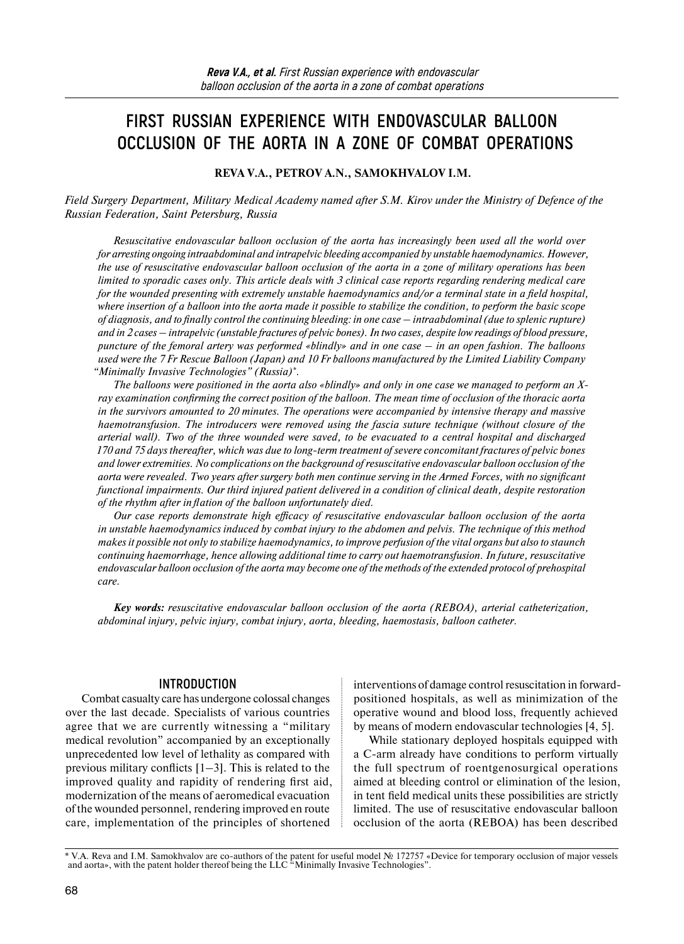# **FIRST RUSSIAN EXPERIENCE WITH ENDOVASCULAR BALLOON OCCLUSION OF THE AORTA IN A ZONE OF COMBAT OPERATIONS**

**REVA V.A., PETROV A.N., SAMOKHVALOV I.M.**

*Field Surgery Department, Military Medical Academy named after S.M. Kirov under the Ministry of Defence of the Russian Federation, Saint Petersburg, Russia*

*Resuscitative endovascular balloon occlusion of the aorta has increasingly been used all the world over for arresting ongoing intraabdominal and intrapelvic bleeding accompanied by unstable haemodynamics. However, the use of resuscitative endovascular balloon occlusion of the aorta in a zone of military operations has been limited to sporadic cases only. This article deals with 3 clinical case reports regarding rendering medical care for the wounded presenting with extremely unstable haemodynamics and/or a terminal state in a field hospital, where insertion of a balloon into the aorta made it possible to stabilize the condition, to perform the basic scope of diagnosis, and to finally control the continuing bleeding: in one case – intraabdominal (due to splenic rupture) and in 2 cases – intrapelvic (unstable fractures of pelvic bones). In two cases, despite low readings of blood pressure, puncture of the femoral artery was performed «blindly» and in one case – in an open fashion. The balloons used were the 7 Fr Rescue Balloon (Japan) and 10 Fr balloons manufactured by the Limited Liability Company "Minimally Invasive Technologies" (Russia)\*.*

*The balloons were positioned in the aorta also «blindly» and only in one case we managed to perform an Xray examination confirming the correct position of the balloon. The mean time of occlusion of the thoracic aorta in the survivors amounted to 20 minutes. The operations were accompanied by intensive therapy and massive haemotransfusion. The introducers were removed using the fascia suture technique (without closure of the arterial wall). Two of the three wounded were saved, to be evacuated to a central hospital and discharged 170 and 75 days thereafter, which was due to long-term treatment of severe concomitant fractures of pelvic bones and lower extremities. No complications on the background of resuscitative endovascular balloon occlusion of the aorta were revealed. Two years after surgery both men continue serving in the Armed Forces, with no significant functional impairments. Our third injured patient delivered in a condition of clinical death, despite restoration of the rhythm after inflation of the balloon unfortunately died.*

*Our case reports demonstrate high efficacy of resuscitative endovascular balloon occlusion of the aorta in unstable haemodynamics induced by combat injury to the abdomen and pelvis. The technique of this method makes it possible not only to stabilize haemodynamics, to improve perfusion of the vital organs but also to staunch continuing haemorrhage, hence allowing additional time to carry out haemotransfusion. In future, resuscitative endovascular balloon occlusion of the aorta may become one of the methods of the extended protocol of prehospital care.*

*Key words: resuscitative endovascular balloon occlusion of the aorta (REBOA), arterial catheterization, abdominal injury, pelvic injury, combat injury, aorta, bleeding, haemostasis, balloon catheter.*

# **INTRODUCTION**

Combat casualty care has undergone colossal changes over the last decade. Specialists of various countries agree that we are currently witnessing a "military medical revolution" accompanied by an exceptionally unprecedented low level of lethality as compared with previous military conflicts  $[1-3]$ . This is related to the improved quality and rapidity of rendering first aid, modernization of the means of aeromedical evacuation of the wounded personnel, rendering improved en route care, implementation of the principles of shortened

interventions of damage control resuscitation in forwardpositioned hospitals, as well as minimization of the operative wound and blood loss, frequently achieved by means of modern endovascular technologies [4, 5].

While stationary deployed hospitals equipped with a C-arm already have conditions to perform virtually the full spectrum of roentgenosurgical operations aimed at bleeding control or elimination of the lesion, in tent field medical units these possibilities are strictly limited. The use of resuscitative endovascular balloon occlusion of the aorta (REBOA) has been described

<sup>\*</sup> V.A. Reva and I.M. Samokhvalov are co-authors of the patent for useful model № 172757 «Device for temporary occlusion of major vessels and aorta», with the patent holder thereof being the LLC "Minimally Invasive Technologies".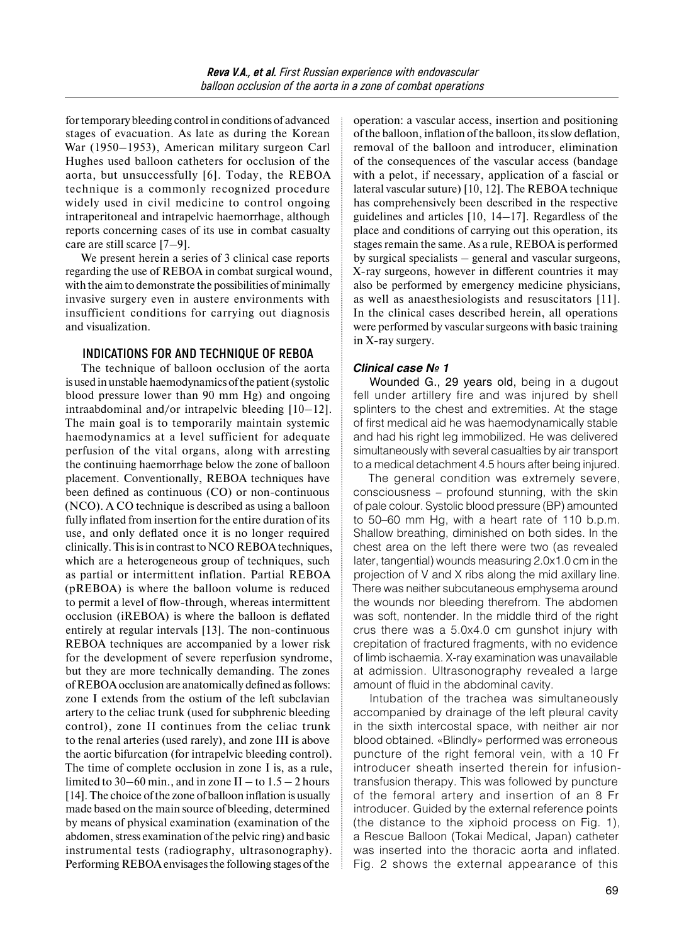fortemporary bleeding control in conditions of advanced stages of evacuation. As late as during the Korean War (1950–1953), American military surgeon Carl Hughes used balloon catheters for occlusion of the aorta, but unsuccessfully [6]. Today, the REBOA technique is a commonly recognized procedure widely used in civil medicine to control ongoing intraperitoneal and intrapelvic haemorrhage, although reports concerning cases of its use in combat casualty care are still scarce [7–9].

We present herein a series of 3 clinical case reports regarding the use of REBOA in combat surgical wound, with the aim to demonstrate the possibilities of minimally invasive surgery even in austere environments with insufficient conditions for carrying out diagnosis and visualization.

# **INDICATIONS FOR AND TECHNIQUE OF REBOA**

The technique of balloon occlusion of the aorta is used in unstable haemodynamics ofthe patient (systolic blood pressure lower than 90 mm Hg) and ongoing intraabdominal and/or intrapelvic bleeding [10–12]. The main goal is to temporarily maintain systemic haemodynamics at a level sufficient for adequate perfusion of the vital organs, along with arresting the continuing haemorrhage below the zone of balloon placement. Conventionally, REBOA techniques have been defined as continuous (CO) or non-continuous (NCO). A CO technique is described as using a balloon fully inflated from insertion for the entire duration of its use, and only deflated once it is no longer required clinically. This isin contrast to NCO REBOA techniques, which are a heterogeneous group of techniques, such as partial or intermittent inflation. Partial REBOA (pREBOA) is where the balloon volume is reduced to permit a level of flow-through, whereas intermittent occlusion (iREBOA) is where the balloon is deflated entirely at regular intervals [13]. The non-continuous REBOA techniques are accompanied by a lower risk for the development of severe reperfusion syndrome, but they are more technically demanding. The zones of REBOA occlusion are anatomically defined as follows: zone I extends from the ostium of the left subclavian artery to the celiac trunk (used for subphrenic bleeding control), zone II continues from the celiac trunk to the renal arteries (used rarely), and zone III is above the aortic bifurcation (for intrapelvic bleeding control). The time of complete occlusion in zone I is, as a rule, limited to 30–60 min., and in zone  $II$  – to  $1.5 - 2$  hours [14]. The choice of the zone of balloon inflation is usually made based on the main source of bleeding, determined by means of physical examination (examination of the abdomen, stress examination of the pelvic ring) and basic instrumental tests (radiography, ultrasonography). Performing REBOA envisages the following stages of the

operation: a vascular access, insertion and positioning of the balloon, inflation of the balloon, its slow deflation, removal of the balloon and introducer, elimination of the consequences of the vascular access (bandage with a pelot, if necessary, application of a fascial or lateral vascular suture) [10, 12]. The REBOA technique has comprehensively been described in the respective guidelines and articles [10, 14–17]. Regardless of the place and conditions of carrying out this operation, its stages remain the same. As a rule, REBOA is performed by surgical specialists – general and vascular surgeons, X-ray surgeons, however in different countries it may also be performed by emergency medicine physicians, as well as anaesthesiologists and resuscitators [11]. In the clinical cases described herein, all operations were performed by vascular surgeons with basic training in X-ray surgery.

# *Clinical case № 1*

Wounded G., 29 years old, being in a dugout fell under artillery fire and was injured by shell splinters to the chest and extremities. At the stage of first medical aid he was haemodynamically stable and had his right leg immobilized. He was delivered simultaneously with several casualties by air transport to a medical detachment 4.5 hours after being injured.

The general condition was extremely severe, consciousness – profound stunning, with the skin of pale colour. Systolic blood pressure (BP) amounted to 50–60 mm Hg, with a heart rate of 110 b.p.m. Shallow breathing, diminished on both sides. In the chest area on the left there were two (as revealed later, tangential) wounds measuring 2.0x1.0 cm in the projection of V and X ribs along the mid axillary line. There was neither subcutaneous emphysema around the wounds nor bleeding therefrom. The abdomen was soft, nontender. In the middle third of the right crus there was a 5.0x4.0 cm gunshot injury with crepitation of fractured fragments, with no evidence of limb ischaemia. X-ray examination was unavailable at admission. Ultrasonography revealed a large amount of fluid in the abdominal cavity.

Intubation of the trachea was simultaneously accompanied by drainage of the left pleural cavity in the sixth intercostal space, with neither air nor blood obtained. «Blindly» performed was erroneous puncture of the right femoral vein, with a 10 Fr introducer sheath inserted therein for infusiontransfusion therapy. This was followed by puncture of the femoral artery and insertion of an 8 Fr introducer. Guided by the external reference points (the distance to the xiphoid process on Fig. 1), a Rescue Balloon (Tokai Medical, Japan) catheter was inserted into the thoracic aorta and inflated. Fig. 2 shows the external appearance of this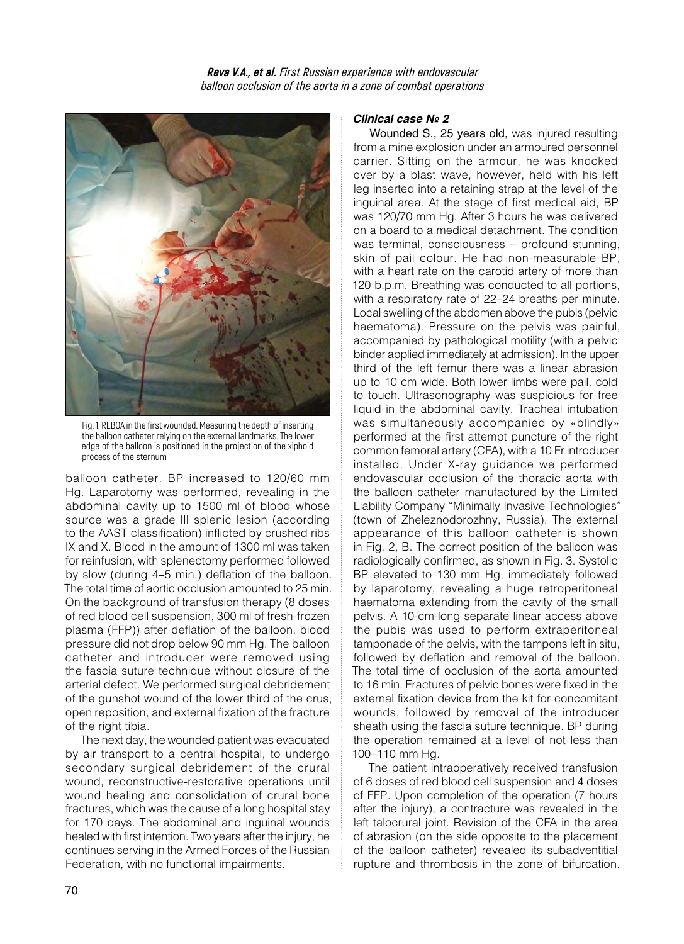

Fig. 1. REBOA in the first wounded. Measuring the depth of inserting the balloon catheter relying on the external landmarks. The lower edge of the balloon is positioned in the projection of the xiphoid process of the sternum

balloon catheter. BP increased to 120/60 mm Hg. Laparotomy was performed, revealing in the abdominal cavity up to 1500 ml of blood whose source was a grade III splenic lesion (according to the AAST classification) inflicted by crushed ribs IX and X. Blood in the amount of 1300 ml was taken for reinfusion, with splenectomy performed followed by slow (during 4–5 min.) deflation of the balloon. The total time of aortic occlusion amounted to 25 min. On the background of transfusion therapy (8 doses of red blood cell suspension, 300 ml of fresh-frozen plasma (FFP)) after deflation of the balloon, blood pressure did not drop below 90 mm Hg. The balloon catheter and introducer were removed using the fascia suture technique without closure of the arterial defect. We performed surgical debridement of the gunshot wound of the lower third of the crus, open reposition, and external fixation of the fracture of the right tibia.

The next day, the wounded patient was evacuated by air transport to a central hospital, to undergo secondary surgical debridement of the crural wound, reconstructive-restorative operations until wound healing and consolidation of crural bone fractures, which was the cause of a long hospital stay for 170 days. The abdominal and inguinal wounds healed with first intention. Two years after the injury, he continues serving in the Armed Forces of the Russian Federation, with no functional impairments.

# *Clinical case № 2*

Wounded S., 25 years old, was injured resulting from a mine explosion under an armoured personnel carrier. Sitting on the armour, he was knocked over by a blast wave, however, held with his left leg inserted into a retaining strap at the level of the inguinal area. At the stage of first medical aid, BP was 120/70 mm Hg. After 3 hours he was delivered on a board to a medical detachment. The condition was terminal, consciousness – profound stunning, skin of pail colour. He had non-measurable BP, with a heart rate on the carotid artery of more than 120 b.p.m. Breathing was conducted to all portions, with a respiratory rate of 22–24 breaths per minute. Local swelling of the abdomen above the pubis (pelvic haematoma). Pressure on the pelvis was painful, accompanied by pathological motility (with a pelvic binder applied immediately at admission). In the upper third of the left femur there was a linear abrasion up to 10 cm wide. Both lower limbs were pail, cold to touch. Ultrasonography was suspicious for free liquid in the abdominal cavity. Tracheal intubation was simultaneously accompanied by «blindly» performed at the first attempt puncture of the right common femoral artery (CFA), with a 10 Fr introducer installed. Under X-ray guidance we performed endovascular occlusion of the thoracic aorta with the balloon catheter manufactured by the Limited Liability Company "Minimally Invasive Technologies" (town of Zheleznodorozhny, Russia). The external appearance of this balloon catheter is shown in Fig. 2, B. The correct position of the balloon was radiologically confirmed, as shown in Fig. 3. Systolic BP elevated to 130 mm Hg, immediately followed by laparotomy, revealing a huge retroperitoneal haematoma extending from the cavity of the small pelvis. A 10-cm-long separate linear access above the pubis was used to perform extraperitoneal tamponade of the pelvis, with the tampons left in situ, followed by deflation and removal of the balloon. The total time of occlusion of the aorta amounted to 16 min. Fractures of pelvic bones were fixed in the external fixation device from the kit for concomitant wounds, followed by removal of the introducer sheath using the fascia suture technique. BP during the operation remained at a level of not less than 100–110 mm Hg.

The patient intraoperatively received transfusion of 6 doses of red blood cell suspension and 4 doses of FFP. Upon completion of the operation (7 hours after the injury), a contracture was revealed in the left talocrural joint. Revision of the CFA in the area of abrasion (on the side opposite to the placement of the balloon catheter) revealed its subadventitial rupture and thrombosis in the zone of bifurcation.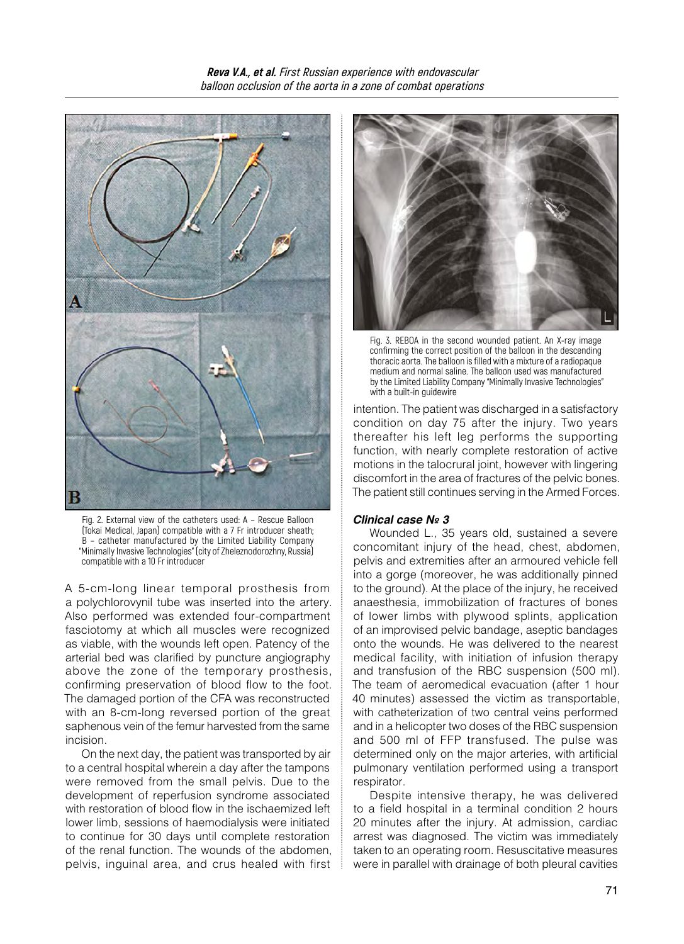



Fig. 2. External view of the catheters used: A – Rescue Balloon (Tokai Medical, Japan) compatible with a 7 Fr introducer sheath; B – catheter manufactured by the Limited Liability Company "Minimally Invasive Technologies" (city of Zheleznodorozhny, Russia) compatible with a 10 Fr introducer

A 5-cm-long linear temporal prosthesis from a polychlorovynil tube was inserted into the artery. Also performed was extended four-compartment fasciotomy at which all muscles were recognized as viable, with the wounds left open. Patency of the arterial bed was clarified by puncture angiography above the zone of the temporary prosthesis, confirming preservation of blood flow to the foot. The damaged portion of the CFA was reconstructed with an 8-cm-long reversed portion of the great saphenous vein of the femur harvested from the same incision.

On the next day, the patient was transported by air to a central hospital wherein a day after the tampons were removed from the small pelvis. Due to the development of reperfusion syndrome associated with restoration of blood flow in the ischaemized left lower limb, sessions of haemodialysis were initiated to continue for 30 days until complete restoration of the renal function. The wounds of the abdomen, pelvis, inguinal area, and crus healed with first



Fig. 3. REBOA in the second wounded patient. An X-ray image confirming the correct position of the balloon in the descending thoracic aorta. The balloon is filled with a mixture of a radiopaque medium and normal saline. The balloon used was manufactured by the Limited Liability Company "Minimally Invasive Technologies" with a built-in guidewire

intention. The patient was discharged in a satisfactory condition on day 75 after the injury. Two years thereafter his left leg performs the supporting function, with nearly complete restoration of active motions in the talocrural joint, however with lingering discomfort in the area of fractures of the pelvic bones. The patient still continues serving in the Armed Forces.

#### *Clinical case № 3*

Wounded L., 35 years old, sustained a severe concomitant injury of the head, chest, abdomen, pelvis and extremities after an armoured vehicle fell into a gorge (moreover, he was additionally pinned to the ground). At the place of the injury, he received anaesthesia, immobilization of fractures of bones of lower limbs with plywood splints, application of an improvised pelvic bandage, aseptic bandages onto the wounds. He was delivered to the nearest medical facility, with initiation of infusion therapy and transfusion of the RBC suspension (500 ml). The team of aeromedical evacuation (after 1 hour 40 minutes) assessed the victim as transportable, with catheterization of two central veins performed and in a helicopter two doses of the RBC suspension and 500 ml of FFP transfused. The pulse was determined only on the major arteries, with artificial pulmonary ventilation performed using a transport respirator.

Despite intensive therapy, he was delivered to a field hospital in a terminal condition 2 hours 20 minutes after the injury. At admission, cardiac arrest was diagnosed. The victim was immediately taken to an operating room. Resuscitative measures were in parallel with drainage of both pleural cavities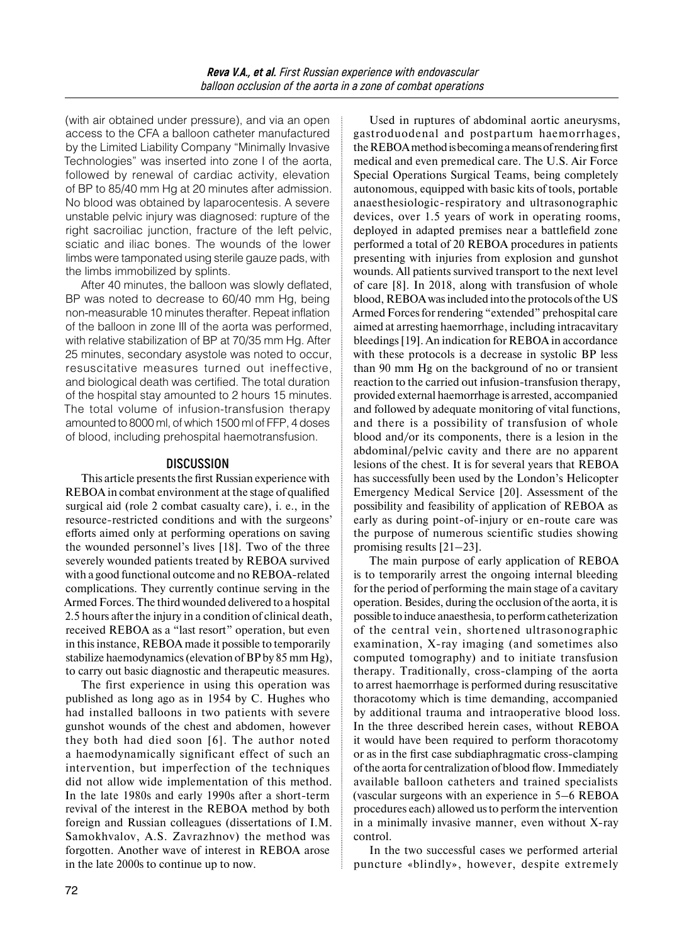(with air obtained under pressure), and via an open access to the CFA a balloon catheter manufactured by the Limited Liability Company "Minimally Invasive Technologies" was inserted into zone I of the aorta, followed by renewal of cardiac activity, elevation of BP to 85/40 mm Hg at 20 minutes after admission. No blood was obtained by laparocentesis. A severe unstable pelvic injury was diagnosed: rupture of the right sacroiliac junction, fracture of the left pelvic, sciatic and iliac bones. The wounds of the lower limbs were tamponated using sterile gauze pads, with the limbs immobilized by splints.

After 40 minutes, the balloon was slowly deflated, BP was noted to decrease to 60/40 mm Hg, being non-measurable 10 minutes therafter. Repeat inflation of the balloon in zone III of the aorta was performed, with relative stabilization of BP at 70/35 mm Hg. After 25 minutes, secondary asystole was noted to occur, resuscitative measures turned out ineffective, and biological death was certified. The total duration of the hospital stay amounted to 2 hours 15 minutes. The total volume of infusion-transfusion therapy amounted to 8000 ml, of which 1500 ml of FFP, 4 doses of blood, including prehospital haemotransfusion.

## **DISCUSSION**

This article presents the first Russian experience with REBOA in combat environment at the stage of qualified surgical aid (role 2 combat casualty care), i. e., in the resource-restricted conditions and with the surgeons' efforts aimed only at performing operations on saving the wounded personnel's lives [18]. Two of the three severely wounded patients treated by REBOA survived with a good functional outcome and no REBOA-related complications. They currently continue serving in the Armed Forces. The third wounded delivered to a hospital 2.5 hours after the injury in a condition of clinical death, received REBOA as a "last resort" operation, but even in this instance, REBOA made it possible to temporarily stabilize haemodynamics (elevation of BP by 85 mm Hg), to carry out basic diagnostic and therapeutic measures.

The first experience in using this operation was published as long ago as in 1954 by C. Hughes who had installed balloons in two patients with severe gunshot wounds of the chest and abdomen, however they both had died soon [6]. The author noted a haemodynamically significant effect of such an intervention, but imperfection of the techniques did not allow wide implementation of this method. In the late 1980s and early 1990s after a short-term revival of the interest in the REBOA method by both foreign and Russian colleagues (dissertations of I.M. Samokhvalov, A.S. Zavrazhnov) the method was forgotten. Another wave of interest in REBOA arose in the late 2000s to continue up to now.

Used in ruptures of abdominal aortic aneurysms, gastroduodenal and postpartum haemorrhages, the REBOA method is becoming a means of rendering first medical and even premedical care. The U.S. Air Force Special Operations Surgical Teams, being completely autonomous, equipped with basic kits of tools, portable anaesthesiologic-respiratory and ultrasonographic devices, over 1.5 years of work in operating rooms, deployed in adapted premises near a battlefield zone performed a total of 20 REBOA procedures in patients presenting with injuries from explosion and gunshot wounds. All patients survived transport to the next level of care [8]. In 2018, along with transfusion of whole blood, REBOA was included into the protocols of the US Armed Forces for rendering "extended" prehospital care aimed at arresting haemorrhage, including intracavitary bleedings [19]. An indication for REBOA in accordance with these protocols is a decrease in systolic BP less than 90 mm Hg on the background of no or transient reaction to the carried out infusion-transfusion therapy, provided external haemorrhage is arrested, accompanied and followed by adequate monitoring of vital functions, and there is a possibility of transfusion of whole blood and/or its components, there is a lesion in the abdominal/pelvic cavity and there are no apparent lesions of the chest. It is for several years that REBOA has successfully been used by the London's Helicopter Emergency Medical Service [20]. Assessment of the possibility and feasibility of application of REBOA as early as during point-of-injury or en-route care was the purpose of numerous scientific studies showing promising results [21–23].

The main purpose of early application of REBOA is to temporarily arrest the ongoing internal bleeding for the period of performing the main stage of a cavitary operation. Besides, during the occlusion of the aorta, it is possible to induce anaesthesia, to perform catheterization of the central vein, shortened ultrasonographic examination, X-ray imaging (and sometimes also computed tomography) and to initiate transfusion therapy. Traditionally, cross-clamping of the aorta to arrest haemorrhage is performed during resuscitative thoracotomy which is time demanding, accompanied by additional trauma and intraoperative blood loss. In the three described herein cases, without REBOA it would have been required to perform thoracotomy or as in the first case subdiaphragmatic cross-clamping of the aorta for centralization of blood flow. Immediately available balloon catheters and trained specialists (vascular surgeons with an experience in 5–6 REBOA procedures each) allowed us to perform the intervention in a minimally invasive manner, even without X-ray control.

In the two successful cases we performed arterial puncture «blindly», however, despite extremely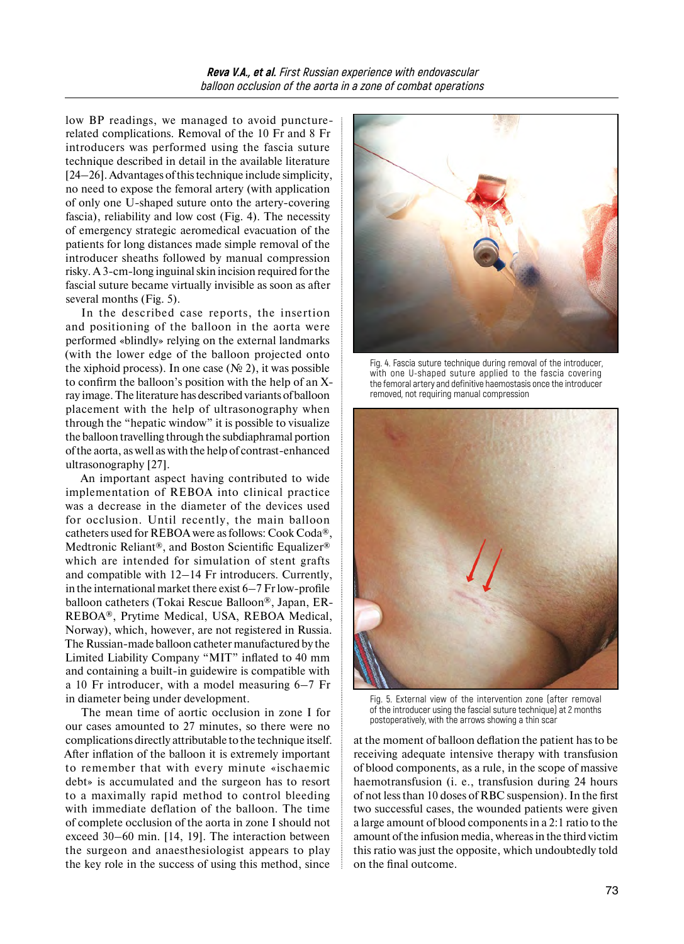low BP readings, we managed to avoid puncturerelated complications. Removal of the 10 Fr and 8 Fr introducers was performed using the fascia suture technique described in detail in the available literature [24–26]. Advantages of this technique include simplicity, no need to expose the femoral artery (with application of only one U-shaped suture onto the artery-covering fascia), reliability and low cost (Fig. 4). The necessity of emergency strategic aeromedical evacuation of the patients for long distances made simple removal of the introducer sheaths followed by manual compression risky. A3-cm-long inguinal skin incision required forthe fascial suture became virtually invisible as soon as after several months (Fig. 5).

In the described case reports, the insertion and positioning of the balloon in the aorta were performed «blindly» relying on the external landmarks (with the lower edge of the balloon projected onto the xiphoid process). In one case ( $\mathcal{N}$  2), it was possible to confirm the balloon's position with the help of an Xray image. The literature has described variants of balloon placement with the help of ultrasonography when through the "hepatic window" it is possible to visualize the balloon travelling through the subdiaphramal portion of the aorta, as well as with the help of contrast-enhanced ultrasonography [27].

An important aspect having contributed to wide implementation of REBOA into clinical practice was a decrease in the diameter of the devices used for occlusion. Until recently, the main balloon catheters used for REBOA were as follows: Cook Coda®, Medtronic Reliant®, and Boston Scientific Equalizer® which are intended for simulation of stent grafts and compatible with 12–14 Fr introducers. Currently, in the international market there exist 6–7 Fr low-profile balloon catheters (Tokai Rescue Balloon®, Japan, ER-REBOA®, Prytime Medical, USA, REBOA Medical, Norway), which, however, are not registered in Russia. The Russian-made balloon catheter manufactured by the Limited Liability Company "MIT" inflated to 40 mm and containing a built-in guidewire is compatible with a 10 Fr introducer, with a model measuring 6–7 Fr in diameter being under development.

The mean time of aortic occlusion in zone I for our cases amounted to 27 minutes, so there were no complications directly attributable to the technique itself. After inflation of the balloon it is extremely important to remember that with every minute «ischaemic debt» is accumulated and the surgeon has to resort to a maximally rapid method to control bleeding with immediate deflation of the balloon. The time of complete occlusion of the aorta in zone I should not exceed 30–60 min. [14, 19]. The interaction between the surgeon and anaesthesiologist appears to play the key role in the success of using this method, since



Fig. 4. Fascia suture technique during removal of the introducer, with one U-shaped suture applied to the fascia covering the femoral artery and definitive haemostasis once the introducer removed, not requiring manual compression



Fig. 5. External view of the intervention zone (after removal of the introducer using the fascial suture technique) at 2 months postoperatively, with the arrows showing a thin scar

at the moment of balloon deflation the patient has to be receiving adequate intensive therapy with transfusion of blood components, as a rule, in the scope of massive haemotransfusion (i. e., transfusion during 24 hours of not less than 10 doses of RBC suspension). In the first two successful cases, the wounded patients were given a large amount of blood components in a 2:1 ratio to the amount of the infusion media, whereas in the third victim this ratio was just the opposite, which undoubtedly told on the final outcome.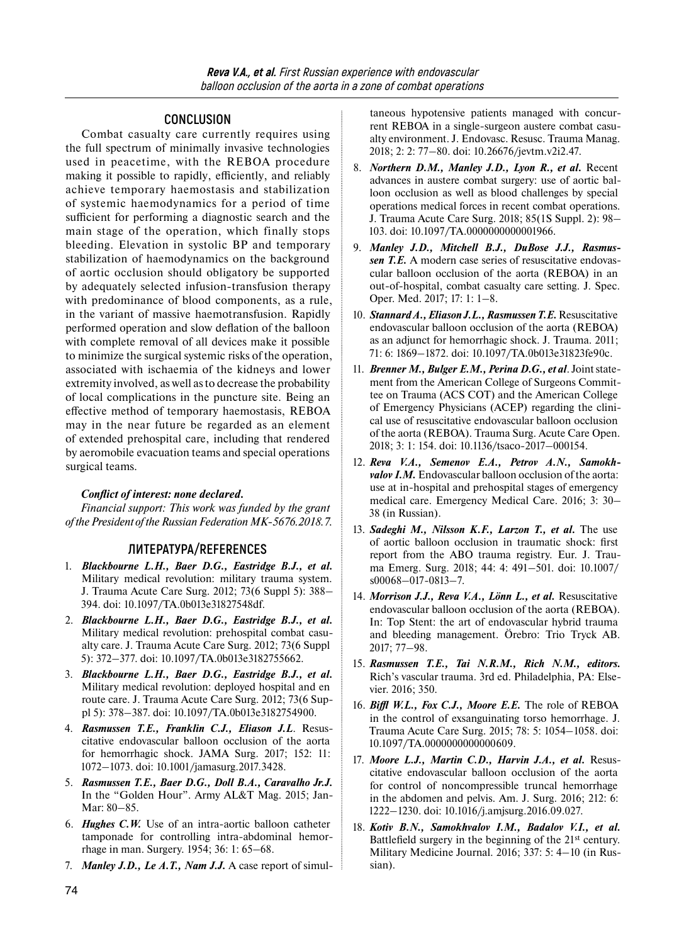## **CONCLUSION**

Combat casualty care currently requires using the full spectrum of minimally invasive technologies used in peacetime, with the REBOA procedure making it possible to rapidly, efficiently, and reliably achieve temporary haemostasis and stabilization of systemic haemodynamics for a period of time sufficient for performing a diagnostic search and the main stage of the operation, which finally stops bleeding. Elevation in systolic BP and temporary stabilization of haemodynamics on the background of aortic occlusion should obligatory be supported by adequately selected infusion-transfusion therapy with predominance of blood components, as a rule, in the variant of massive haemotransfusion. Rapidly performed operation and slow deflation of the balloon with complete removal of all devices make it possible to minimize the surgical systemic risks of the operation, associated with ischaemia of the kidneys and lower extremity involved, as well as to decrease the probability of local complications in the puncture site. Being an effective method of temporary haemostasis, REBOA may in the near future be regarded as an element of extended prehospital care, including that rendered by aeromobile evacuation teams and special operations surgical teams.

#### *Conflict of interest: none declared.*

*Financial support: This work was funded by the grant of the President of the Russian Federation MK-5676.2018.7.* 

## **ЛИТЕРАТУРА/REFERENCES**

- 1. *Blackbourne L.H., Baer D.G., Eastridge B.J., et al.*  Military medical revolution: military trauma system. J. Trauma Acute Care Surg. 2012; 73(6 Suppl 5): 388– 394. doi: 10.1097/TA.0b013e31827548df.
- 2. *Blackbourne L.H., Baer D.G., Eastridge B.J., et al.*  Military medical revolution: prehospital combat casualty care. J. Trauma Acute Care Surg. 2012; 73(6 Suppl 5): 372–377. doi: 10.1097/TA.0b013e3182755662.
- 3. *Blackbourne L.H., Baer D.G., Eastridge B.J., et al.*  Military medical revolution: deployed hospital and en route care. J. Trauma Acute Care Surg. 2012; 73(6 Suppl 5): 378–387. doi: 10.1097/TA.0b013e3182754900.
- 4. *Rasmussen T.E., Franklin C.J., Eliason J.L*. Resuscitative endovascular balloon occlusion of the aorta for hemorrhagic shock. JAMA Surg. 2017; 152: 11: 1072–1073. doi: 10.1001/jamasurg.2017.3428.
- 5. *Rasmussen T.E., Baer D.G., Doll B.A., Caravalho Jr.J.*  In the "Golden Hour". Army AL&T Mag. 2015; Jan-Mar: 80–85.
- 6. *Hughes C.W.* Use of an intra-aortic balloon catheter tamponade for controlling intra-abdominal hemorrhage in man. Surgery. 1954; 36: 1: 65–68.
- 7. *Manley J.D., Le A.T., Nam J.J.* A case report of simul-

taneous hypotensive patients managed with concurrent REBOA in a single-surgeon austere combat casualty environment. J. Endovasc. Resusc. Trauma Manag. 2018; 2: 2: 77–80. doi: 10.26676/jevtm.v2i2.47.

- 8. *Northern D.M., Manley J.D., Lyon R., et al.* Recent advances in austere combat surgery: use of aortic balloon occlusion as well as blood challenges by special operations medical forces in recent combat operations. J. Trauma Acute Care Surg. 2018; 85(1S Suppl. 2): 98– 103. doi: 10.1097/TA.0000000000001966.
- 9. *Manley J.D., Mitchell B.J., DuBose J.J., Rasmussen T.E.* A modern case series of resuscitative endovascular balloon occlusion of the aorta (REBOA) in an out-of-hospital, combat casualty care setting. J. Spec. Oper. Med. 2017; 17: 1: 1–8.
- 10. *Stannard A., Eliason J.L., Rasmussen T.E.* Resuscitative endovascular balloon occlusion of the aorta (REBOA) as an adjunct for hemorrhagic shock. J. Trauma. 2011; 71: 6: 1869–1872. doi: 10.1097/TA.0b013e31823fe90c.
- 11. *Brenner M., Bulger E.M., Perina D.G., et al*. Joint statement from the American College of Surgeons Committee on Trauma (ACS COT) and the American College of Emergency Physicians (ACEP) regarding the clinical use of resuscitative endovascular balloon occlusion of the aorta (REBOA). Trauma Surg. Acute Care Open. 2018; 3: 1: 154. doi: 10.1136/tsaco-2017–000154.
- 12. *Reva V.A., Semenov E.A., Petrov A.N., Samokhvalov I.M.* Endovascular balloon occlusion of the aorta: use at in-hospital and prehospital stages of emergency medical care. Emergency Medical Care. 2016; 3: 30– 38 (in Russian).
- 13. *Sadeghi M., Nilsson K.F., Larzon T., et al.* The use of aortic balloon occlusion in traumatic shock: first report from the ABO trauma registry. Eur. J. Trauma Emerg. Surg. 2018; 44: 4: 491–501. doi: 10.1007/ s00068–017-0813–7.
- 14. *Morrison J.J., Reva V.A., Lönn L., et al.* Resuscitative endovascular balloon occlusion of the aorta (REBOA). In: Top Stent: the art of endovascular hybrid trauma and bleeding management. Örebro: Trio Tryck AB. 2017; 77–98.
- 15. *Rasmussen T.E., Tai N.R.M., Rich N.M., editors.*  Rich's vascular trauma. 3rd ed. Philadelphia, PA: Elsevier. 2016; 350.
- 16. *Biffl W.L., Fox C.J., Moore E.E.* The role of REBOA in the control of exsanguinating torso hemorrhage. J. Trauma Acute Care Surg. 2015; 78: 5: 1054–1058. doi: 10.1097/TA.0000000000000609.
- 17. *Moore L.J., Martin C.D., Harvin J.A., et al.* Resuscitative endovascular balloon occlusion of the aorta for control of noncompressible truncal hemorrhage in the abdomen and pelvis. Am. J. Surg. 2016; 212: 6: 1222–1230. doi: 10.1016/j.amjsurg.2016.09.027.
- 18. *Kotiv B.N., Samokhvalov I.M., Badalov V.I., et al.* Battlefield surgery in the beginning of the 21st century. Military Medicine Journal. 2016; 337: 5: 4–10 (in Russian).